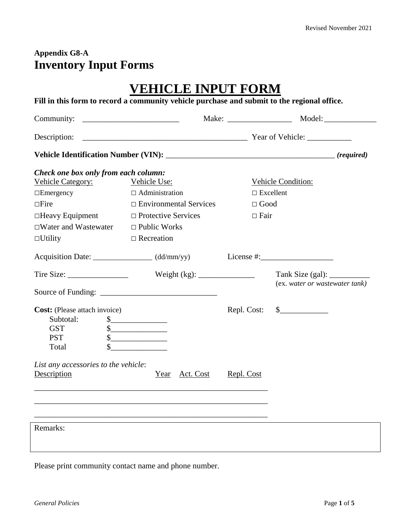#### **Appendix G8-A Inventory Input Forms**

|                                                     | <b>VEHICLE INPUT FORM</b>                                                                                                                                                                                                                                                                                                                           |                  |                                      |  |  |
|-----------------------------------------------------|-----------------------------------------------------------------------------------------------------------------------------------------------------------------------------------------------------------------------------------------------------------------------------------------------------------------------------------------------------|------------------|--------------------------------------|--|--|
|                                                     | Fill in this form to record a community vehicle purchase and submit to the regional office.                                                                                                                                                                                                                                                         |                  |                                      |  |  |
|                                                     |                                                                                                                                                                                                                                                                                                                                                     |                  |                                      |  |  |
|                                                     |                                                                                                                                                                                                                                                                                                                                                     |                  |                                      |  |  |
|                                                     |                                                                                                                                                                                                                                                                                                                                                     |                  |                                      |  |  |
| Check one box only from each column:                |                                                                                                                                                                                                                                                                                                                                                     |                  |                                      |  |  |
| Vehicle Category: Vehicle Use:                      |                                                                                                                                                                                                                                                                                                                                                     |                  | Vehicle Condition:                   |  |  |
| $\Box$ Emergency                                    | $\Box$ Administration                                                                                                                                                                                                                                                                                                                               | $\Box$ Excellent |                                      |  |  |
| $\Box$ Fire                                         | $\Box$ Environmental Services                                                                                                                                                                                                                                                                                                                       | $\Box$ Good      |                                      |  |  |
| $\Box$ Heavy Equipment $\Box$ Protective Services   |                                                                                                                                                                                                                                                                                                                                                     | $\Box$ Fair      |                                      |  |  |
| $\Box$ Water and Wastewater $\Box$ Public Works     |                                                                                                                                                                                                                                                                                                                                                     |                  |                                      |  |  |
| $\Box$ Utility                                      | $\Box$ Recreation                                                                                                                                                                                                                                                                                                                                   |                  |                                      |  |  |
| Acquisition Date: ___________________ (dd/mm/yy)    |                                                                                                                                                                                                                                                                                                                                                     |                  | License $\#$ :                       |  |  |
|                                                     |                                                                                                                                                                                                                                                                                                                                                     |                  |                                      |  |  |
|                                                     |                                                                                                                                                                                                                                                                                                                                                     |                  | (ex. water or wastewater tank)       |  |  |
| <b>Cost:</b> (Please attach invoice)                |                                                                                                                                                                                                                                                                                                                                                     |                  | Repl. Cost: $\quad \quad \text{\AA}$ |  |  |
| Subtotal:                                           | $\frac{\text{S}}{\text{S}}$                                                                                                                                                                                                                                                                                                                         |                  |                                      |  |  |
| <b>GST</b>                                          | $\begin{picture}(20,10) \put(0,0){\line(1,0){10}} \put(15,0){\line(1,0){10}} \put(15,0){\line(1,0){10}} \put(15,0){\line(1,0){10}} \put(15,0){\line(1,0){10}} \put(15,0){\line(1,0){10}} \put(15,0){\line(1,0){10}} \put(15,0){\line(1,0){10}} \put(15,0){\line(1,0){10}} \put(15,0){\line(1,0){10}} \put(15,0){\line(1,0){10}} \put(15,0){\line(1$ |                  |                                      |  |  |
| <b>PST</b><br>Total                                 | $\begin{picture}(20,20) \put(0,0){\line(1,0){100}} \put(15,0){\line(1,0){100}} \put(15,0){\line(1,0){100}} \put(15,0){\line(1,0){100}} \put(15,0){\line(1,0){100}} \put(15,0){\line(1,0){100}} \put(15,0){\line(1,0){100}} \put(15,0){\line(1,0){100}} \put(15,0){\line(1,0){100}} \put(15,0){\line(1,0){100}} \put(15,0){\line(1,0){100}} \$       |                  |                                      |  |  |
| List any accessories to the vehicle:<br>Description | <u> 2001 - 2002 - 2003 - 2004 - 2005 - 2006 - 2007 - 2008 - 2008 - 2008 - 2008 - 2008 - 2008 - 2008 - 2008 - 200</u><br>Year Act. Cost                                                                                                                                                                                                              | Repl. Cost       |                                      |  |  |
| Remarks:                                            |                                                                                                                                                                                                                                                                                                                                                     |                  |                                      |  |  |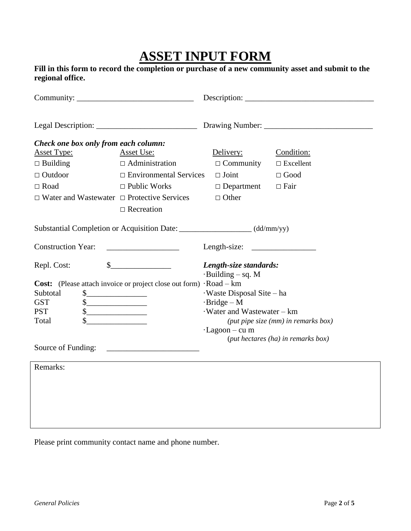# **ASSET INPUT FORM**

|                  |  | Fill in this form to record the completion or purchase of a new community asset and submit to the |  |  |
|------------------|--|---------------------------------------------------------------------------------------------------|--|--|
| regional office. |  |                                                                                                   |  |  |

| Check one box only from each column:                                                                                                                                          |                                                                                                                                |                                                                                                                                                                                                                          |                  |  |  |  |
|-------------------------------------------------------------------------------------------------------------------------------------------------------------------------------|--------------------------------------------------------------------------------------------------------------------------------|--------------------------------------------------------------------------------------------------------------------------------------------------------------------------------------------------------------------------|------------------|--|--|--|
| <b>Asset Type:</b>                                                                                                                                                            | Asset Use:                                                                                                                     | Delivery:                                                                                                                                                                                                                | Condition:       |  |  |  |
| $\Box$ Building                                                                                                                                                               | $\Box$ Administration                                                                                                          | $\Box$ Community                                                                                                                                                                                                         | $\Box$ Excellent |  |  |  |
| $\Box$ Outdoor                                                                                                                                                                | $\Box$ Environmental Services                                                                                                  | $\Box$ Joint                                                                                                                                                                                                             | $\Box$ Good      |  |  |  |
| $\Box$ Road                                                                                                                                                                   | $\Box$ Public Works                                                                                                            | $\Box$ Department                                                                                                                                                                                                        | $\Box$ Fair      |  |  |  |
| $\Box$ Water and Wastewater $\Box$ Protective Services                                                                                                                        |                                                                                                                                | $\Box$ Other                                                                                                                                                                                                             |                  |  |  |  |
|                                                                                                                                                                               | $\Box$ Recreation                                                                                                              |                                                                                                                                                                                                                          |                  |  |  |  |
|                                                                                                                                                                               | Substantial Completion or Acquisition Date: _____________________(dd/mm/yy)                                                    |                                                                                                                                                                                                                          |                  |  |  |  |
| <b>Construction Year:</b><br>Length-size: $\frac{1}{2}$                                                                                                                       |                                                                                                                                |                                                                                                                                                                                                                          |                  |  |  |  |
| Repl. Cost:<br>Subtotal<br>$\frac{1}{2}$<br><b>GST</b><br>$\frac{\text{S}}{\text{S}}$<br><b>PST</b><br>$\frac{\text{S}}{\text{S}}$<br>Total<br>Source of Funding:<br>Remarks: | s<br>Cost: (Please attach invoice or project close out form) · Road – km<br><u> 1990 - Johann Barn, amerikansk politiker (</u> | Length-size standards:<br>$-Building - sq. M$<br>Waste Disposal Site - ha<br>$-Bridge - M$<br>Water and Wastewater - km<br>(put pipe size (mm) in remarks box)<br>$-Lagoon - cu$ m<br>(put hectares (ha) in remarks box) |                  |  |  |  |
|                                                                                                                                                                               |                                                                                                                                |                                                                                                                                                                                                                          |                  |  |  |  |
|                                                                                                                                                                               |                                                                                                                                |                                                                                                                                                                                                                          |                  |  |  |  |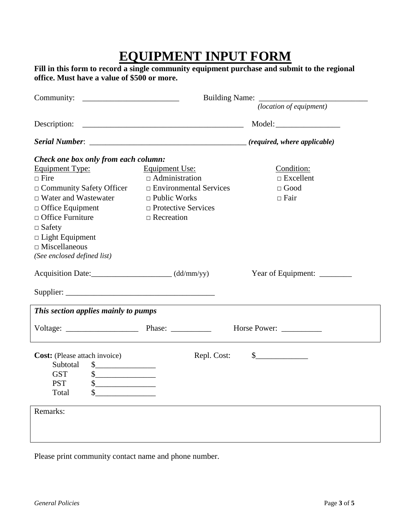### **EQUIPMENT INPUT FORM**

| Community:                                                                                                                                                                                                                                               |                                                                                                                                                           | Building Name: <i>(location of equipment)</i>                                                                                                                                                                                                                                                                                                                                |  |  |
|----------------------------------------------------------------------------------------------------------------------------------------------------------------------------------------------------------------------------------------------------------|-----------------------------------------------------------------------------------------------------------------------------------------------------------|------------------------------------------------------------------------------------------------------------------------------------------------------------------------------------------------------------------------------------------------------------------------------------------------------------------------------------------------------------------------------|--|--|
|                                                                                                                                                                                                                                                          | Description: $\qquad \qquad$                                                                                                                              | Model:                                                                                                                                                                                                                                                                                                                                                                       |  |  |
|                                                                                                                                                                                                                                                          |                                                                                                                                                           |                                                                                                                                                                                                                                                                                                                                                                              |  |  |
| Check one box only from each column:                                                                                                                                                                                                                     |                                                                                                                                                           |                                                                                                                                                                                                                                                                                                                                                                              |  |  |
| Equipment Type:<br>$\Box$ Fire<br>$\Box$ Community Safety Officer<br>$\Box$ Water and Wastewater<br>$\Box$ Office Equipment<br>$\Box$ Office Furniture<br>$\Box$ Safety<br>$\Box$ Light Equipment<br>$\Box$ Miscellaneous<br>(See enclosed defined list) | <b>Equipment Use:</b><br>$\Box$ Administration<br>$\Box$ Environmental Services<br>$\Box$ Public Works<br>$\Box$ Protective Services<br>$\Box$ Recreation | Condition:<br>$\Box$<br>Excellent<br>$\Box$ Good<br>$\Box$ Fair                                                                                                                                                                                                                                                                                                              |  |  |
| Acquisition Date: (dd/mm/yy)                                                                                                                                                                                                                             |                                                                                                                                                           | Year of Equipment: _________                                                                                                                                                                                                                                                                                                                                                 |  |  |
|                                                                                                                                                                                                                                                          |                                                                                                                                                           |                                                                                                                                                                                                                                                                                                                                                                              |  |  |
| This section applies mainly to pumps                                                                                                                                                                                                                     |                                                                                                                                                           |                                                                                                                                                                                                                                                                                                                                                                              |  |  |
|                                                                                                                                                                                                                                                          |                                                                                                                                                           | Horse Power:                                                                                                                                                                                                                                                                                                                                                                 |  |  |
| <b>Cost:</b> (Please attach invoice)<br>Subtotal \$<br><b>GST</b><br>\$<br><b>PST</b><br>Total<br>\$                                                                                                                                                     | Repl. Cost:                                                                                                                                               | $\frac{\S_{\frac{1}{2}}}{\S_{\frac{1}{2}}}{\S_{\frac{1}{2}}}{\S_{\frac{1}{2}}}{\S_{\frac{1}{2}}}{\S_{\frac{1}{2}}}{\S_{\frac{1}{2}}}{\S_{\frac{1}{2}}}{\S_{\frac{1}{2}}}{\S_{\frac{1}{2}}}{\S_{\frac{1}{2}}}{\S_{\frac{1}{2}}}{\S_{\frac{1}{2}}}{\S_{\frac{1}{2}}}{\S_{\frac{1}{2}}}{\S_{\frac{1}{2}}}{\S_{\frac{1}{2}}}{\S_{\frac{1}{2}}}{\S_{\frac{1}{2}}}{\S_{\frac{1}{2$ |  |  |
| Remarks:                                                                                                                                                                                                                                                 |                                                                                                                                                           |                                                                                                                                                                                                                                                                                                                                                                              |  |  |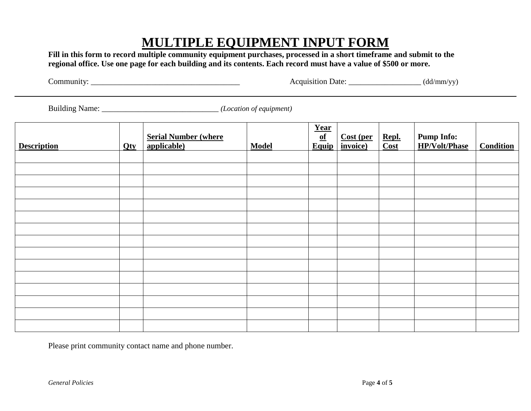## **MULTIPLE EQUIPMENT INPUT FORM**

**Fill in this form to record multiple community equipment purchases, processed in a short timeframe and submit to the regional office. Use one page for each building and its contents. Each record must have a value of \$500 or more.**

Community: \_\_\_\_\_\_\_\_\_\_\_\_\_\_\_\_\_\_\_\_\_\_\_\_\_\_\_\_\_\_\_\_\_\_\_\_\_ Acquisition Date: \_\_\_\_\_\_\_\_\_\_\_\_\_\_\_\_\_\_ (dd/mm/yy)

Building Name: \_\_\_\_\_\_\_\_\_\_\_\_\_\_\_\_\_\_\_\_\_\_\_\_\_\_\_\_\_ *(Location of equipment)*

| <b>Description</b> | Qty | <b>Serial Number (where</b><br>applicable) | <b>Model</b> | Year<br>$\overline{of}$<br>Equip | <b>Cost (per</b><br>invoice) | Repl.<br>Cost | <b>Pump Info:</b><br><b>HP/Volt/Phase</b> | <b>Condition</b> |
|--------------------|-----|--------------------------------------------|--------------|----------------------------------|------------------------------|---------------|-------------------------------------------|------------------|
|                    |     |                                            |              |                                  |                              |               |                                           |                  |
|                    |     |                                            |              |                                  |                              |               |                                           |                  |
|                    |     |                                            |              |                                  |                              |               |                                           |                  |
|                    |     |                                            |              |                                  |                              |               |                                           |                  |
|                    |     |                                            |              |                                  |                              |               |                                           |                  |
|                    |     |                                            |              |                                  |                              |               |                                           |                  |
|                    |     |                                            |              |                                  |                              |               |                                           |                  |
|                    |     |                                            |              |                                  |                              |               |                                           |                  |
|                    |     |                                            |              |                                  |                              |               |                                           |                  |
|                    |     |                                            |              |                                  |                              |               |                                           |                  |
|                    |     |                                            |              |                                  |                              |               |                                           |                  |
|                    |     |                                            |              |                                  |                              |               |                                           |                  |
|                    |     |                                            |              |                                  |                              |               |                                           |                  |
|                    |     |                                            |              |                                  |                              |               |                                           |                  |
|                    |     |                                            |              |                                  |                              |               |                                           |                  |